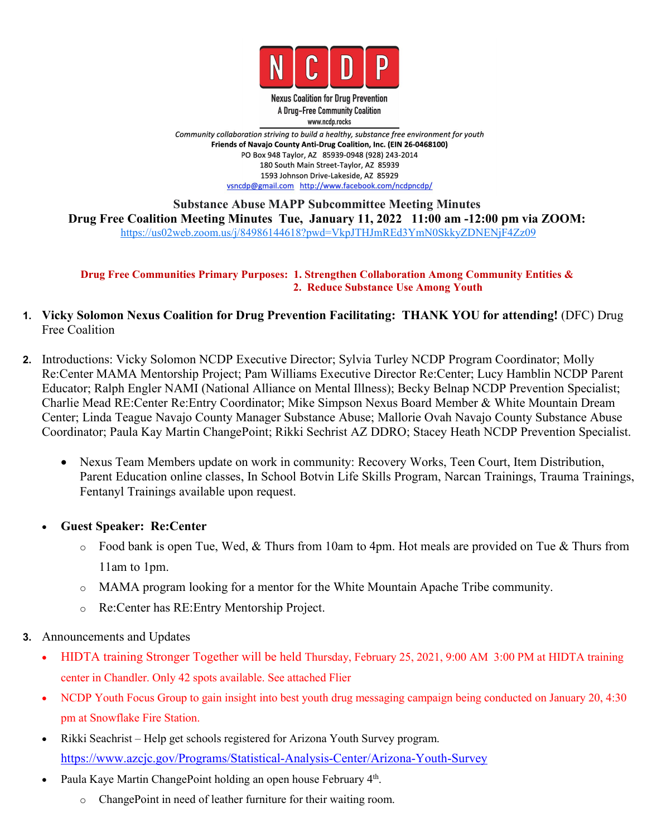

**Nexus Coalition for Drug Prevention** A Drug-Free Community Coalition www.ncdp.rocks

Community collaboration striving to build a healthy, substance free environment for youth Friends of Navajo County Anti-Drug Coalition, Inc. (EIN 26-0468100) PO Box 948 Taylor, AZ 85939-0948 (928) 243-2014 180 South Main Street-Taylor, AZ 85939 1593 Johnson Drive-Lakeside, AZ 85929 vsncdp@gmail.com http://www.facebook.com/ncdpncdp/

**Substance Abuse MAPP Subcommittee Meeting Minutes Drug Free Coalition Meeting Minutes Tue, January 11, 2022 11:00 am -12:00 pm via ZOOM:** <https://us02web.zoom.us/j/84986144618?pwd=VkpJTHJmREd3YmN0SkkyZDNENjF4Zz09>

**Drug Free Communities Primary Purposes: 1. Strengthen Collaboration Among Community Entities & 2. Reduce Substance Use Among Youth**

- **1. Vicky Solomon Nexus Coalition for Drug Prevention Facilitating: THANK YOU for attending!** (DFC) Drug Free Coalition
- **2.** Introductions: Vicky Solomon NCDP Executive Director; Sylvia Turley NCDP Program Coordinator; Molly Re:Center MAMA Mentorship Project; Pam Williams Executive Director Re:Center; Lucy Hamblin NCDP Parent Educator; Ralph Engler NAMI (National Alliance on Mental Illness); Becky Belnap NCDP Prevention Specialist; Charlie Mead RE:Center Re:Entry Coordinator; Mike Simpson Nexus Board Member & White Mountain Dream Center; Linda Teague Navajo County Manager Substance Abuse; Mallorie Ovah Navajo County Substance Abuse Coordinator; Paula Kay Martin ChangePoint; Rikki Sechrist AZ DDRO; Stacey Heath NCDP Prevention Specialist.
	- Nexus Team Members update on work in community: Recovery Works, Teen Court, Item Distribution, Parent Education online classes, In School Botvin Life Skills Program, Narcan Trainings, Trauma Trainings, Fentanyl Trainings available upon request.
	- **Guest Speaker: Re:Center**
		- $\circ$  Food bank is open Tue, Wed, & Thurs from 10am to 4pm. Hot meals are provided on Tue & Thurs from 11am to 1pm.
		- o MAMA program looking for a mentor for the White Mountain Apache Tribe community.
		- o Re:Center has RE:Entry Mentorship Project.
- **3.** Announcements and Updates
	- HIDTA training Stronger Together will be held Thursday, February 25, 2021, 9:00 AM 3:00 PM at HIDTA training center in Chandler. Only 42 spots available. See attached Flier
	- NCDP Youth Focus Group to gain insight into best youth drug messaging campaign being conducted on January 20, 4:30 pm at Snowflake Fire Station.
	- Rikki Seachrist Help get schools registered for Arizona Youth Survey program. <https://www.azcjc.gov/Programs/Statistical-Analysis-Center/Arizona-Youth-Survey>
	- Paula Kaye Martin ChangePoint holding an open house February 4<sup>th</sup>. .
		- ChangePoint in need of leather furniture for their waiting room.